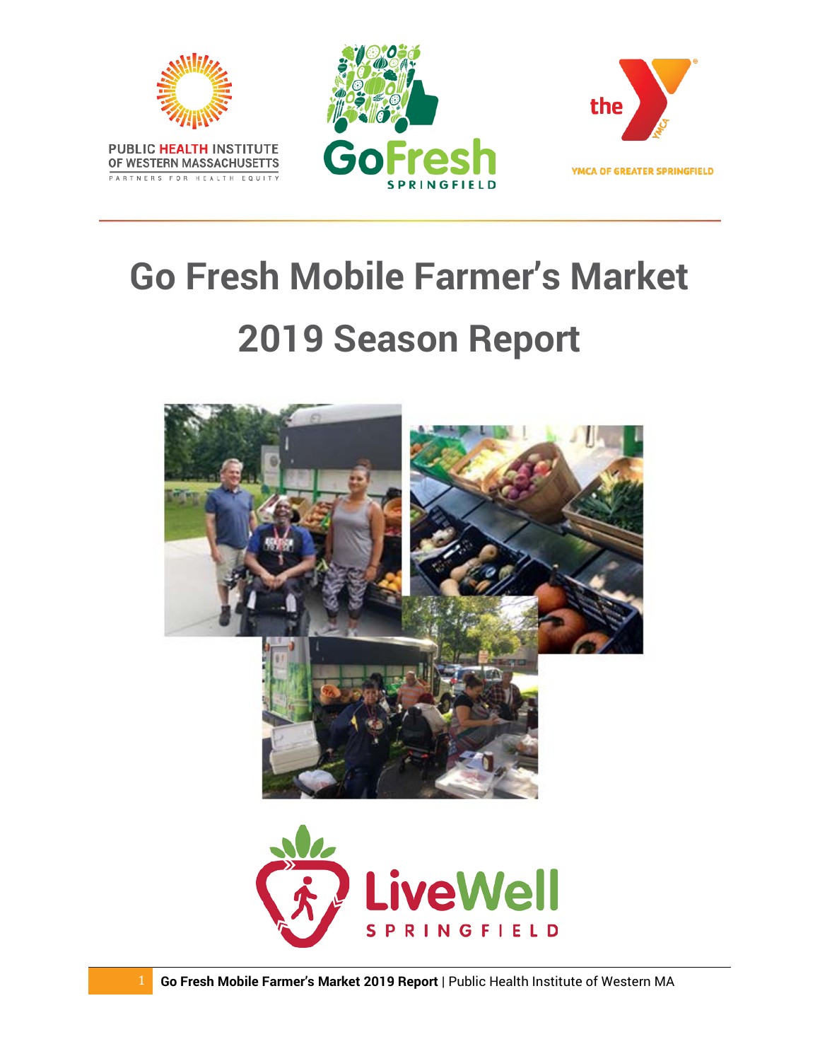

# **Go Fresh Mobile Farmer's Market Season Report**

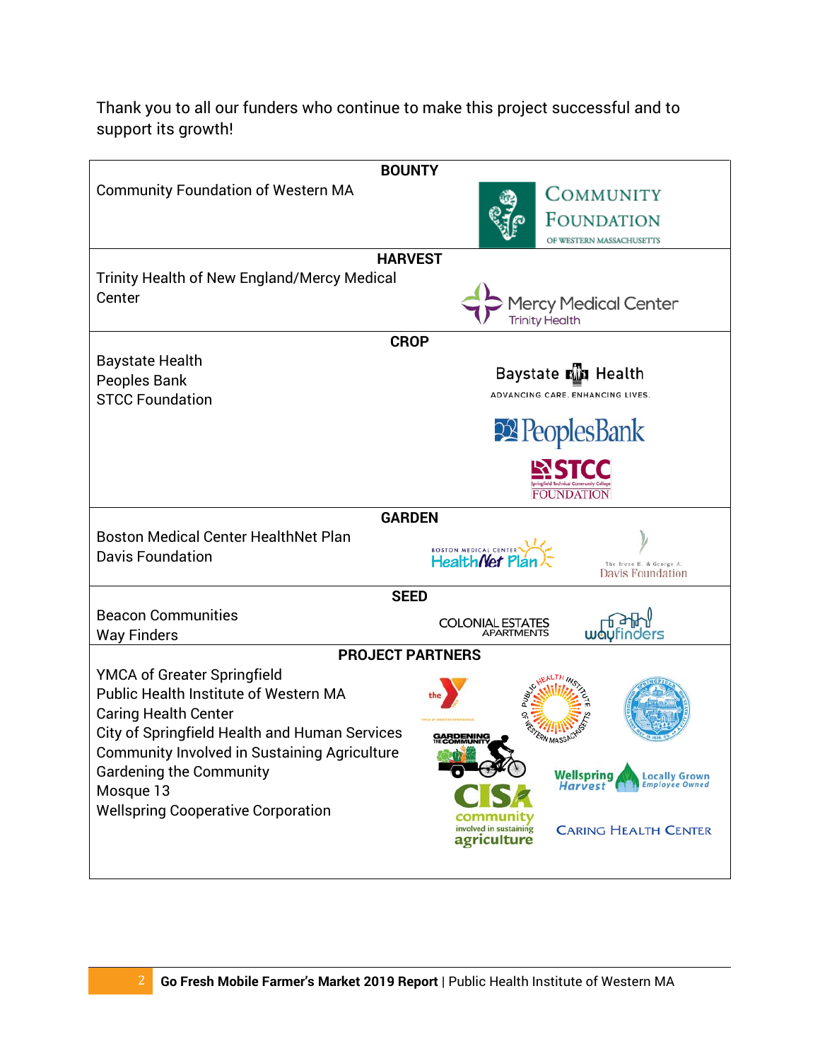Thank you to all our funders who continue to make this project successful and to support its growth!

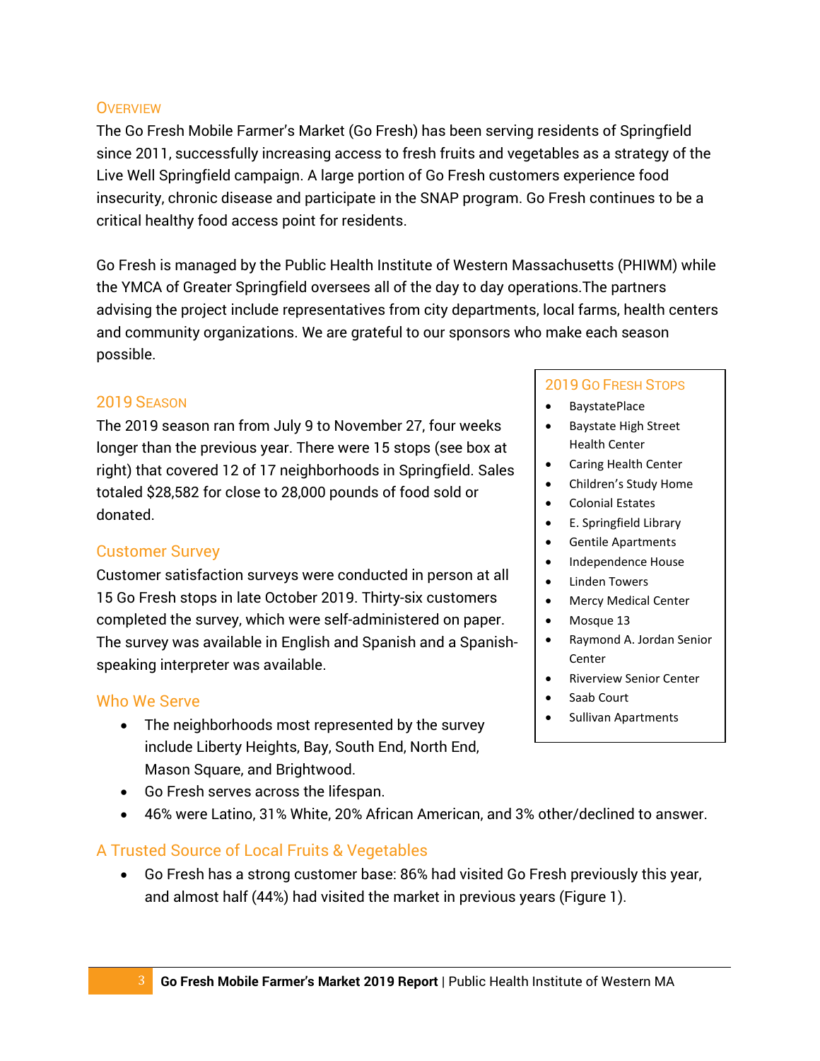#### **OVERVIEW**

The Go Fresh Mobile Farmer's Market (Go Fresh) has been serving residents of Springfield since 2011, successfully increasing access to fresh fruits and vegetables as a strategy of the Live Well Springfield campaign. A large portion of Go Fresh customers experience food insecurity, chronic disease and participate in the SNAP program. Go Fresh continues to be a critical healthy food access point for residents.

Go Fresh is managed by the Public Health Institute of Western Massachusetts (PHIWM) while the YMCA of Greater Springfield oversees all of the day to day operations.The partners advising the project include representatives from city departments, local farms, health centers and community organizations. We are grateful to our sponsors who make each season possible.

## 2019 SEASON

The 2019 season ran from July 9 to November 27, four weeks longer than the previous year. There were 15 stops (see box at right) that covered 12 of 17 neighborhoods in Springfield. Sales totaled \$28,582 for close to 28,000 pounds of food sold or donated.

## Customer Survey

Customer satisfaction surveys were conducted in person at all 15 Go Fresh stops in late October 2019. Thirty-six customers completed the survey, which were self-administered on paper. The survey was available in English and Spanish and a Spanishspeaking interpreter was available.

# Who We Serve

- The neighborhoods most represented by the survey include Liberty Heights, Bay, South End, North End, Mason Square, and Brightwood.
- Go Fresh serves across the lifespan.
- 46% were Latino, 31% White, 20% African American, and 3% other/declined to answer.

# A Trusted Source of Local Fruits & Vegetables

• Go Fresh has a strong customer base: 86% had visited Go Fresh previously this year, and almost half (44%) had visited the market in previous years (Figure 1).

#### 2019 GO FRESH STOPS

- BaystatePlace
- Baystate High Street Health Center
- Caring Health Center
- Children's Study Home
- Colonial Estates
- E. Springfield Library
- Gentile Apartments
- Independence House
- **Linden Towers**
- Mercy Medical Center
- Mosque 13
- Raymond A. Jordan Senior **Center**
- Riverview Senior Center
- Saab Court
- Sullivan Apartments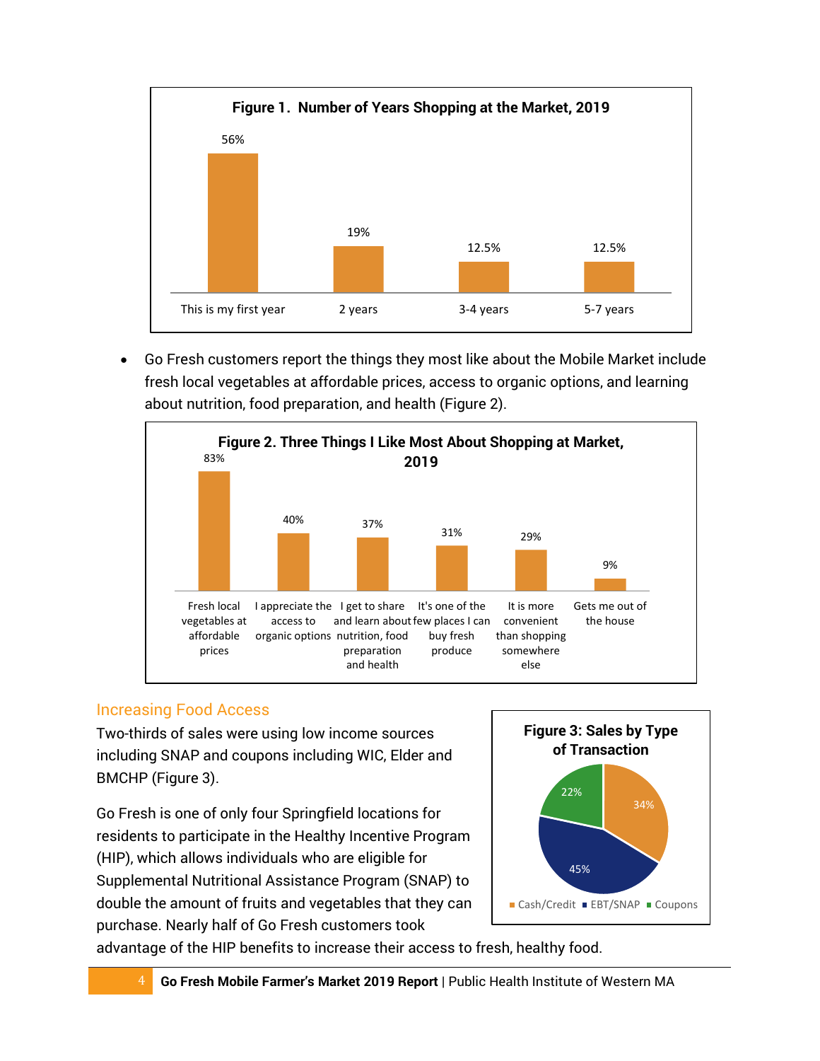

• Go Fresh customers report the things they most like about the Mobile Market include fresh local vegetables at affordable prices, access to organic options, and learning about nutrition, food preparation, and health (Figure 2).



# Increasing Food Access

Two-thirds of sales were using low income sources including SNAP and coupons including WIC, Elder and BMCHP (Figure 3).

Go Fresh is one of only four Springfield locations for residents to participate in the Healthy Incentive Program (HIP), which allows individuals who are eligible for Supplemental Nutritional Assistance Program (SNAP) to double the amount of fruits and vegetables that they can purchase. Nearly half of Go Fresh customers took



advantage of the HIP benefits to increase their access to fresh, healthy food.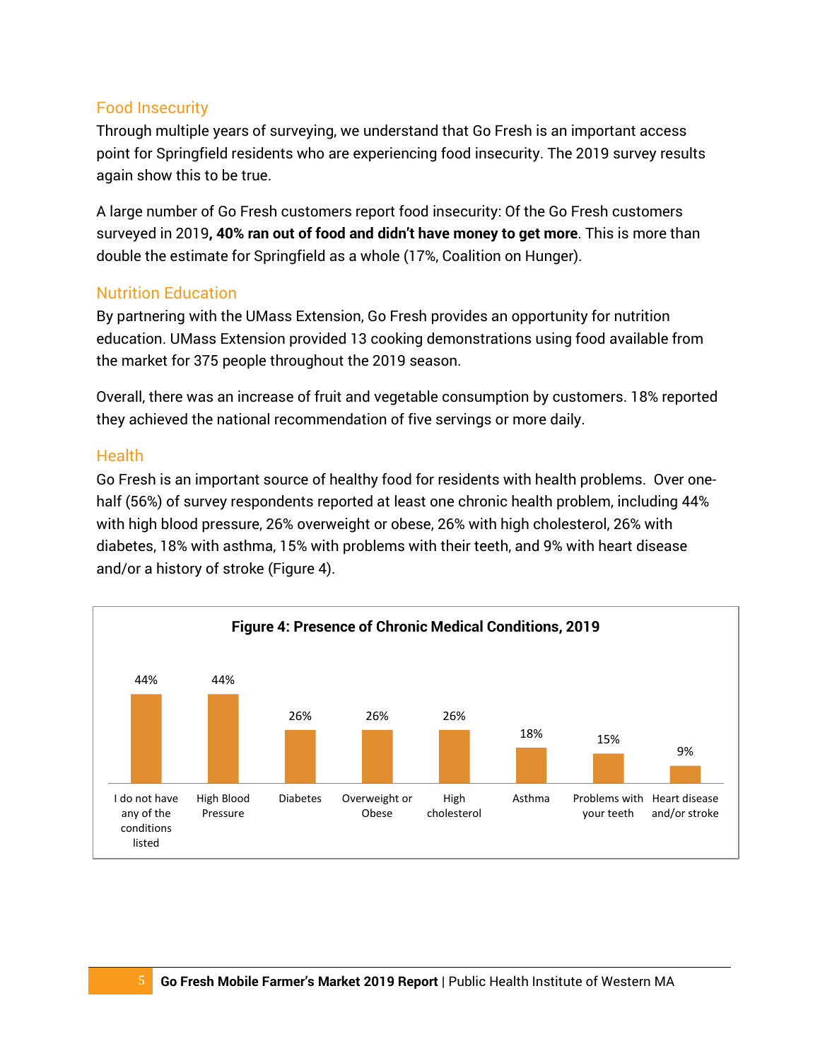# Food Insecurity

Through multiple years of surveying, we understand that Go Fresh is an important access point for Springfield residents who are experiencing food insecurity. The 2019 survey results again show this to be true.

A large number of Go Fresh customers report food insecurity: Of the Go Fresh customers surveyed in 2019**, 40% ran out of food and didn't have money to get more**. This is more than double the estimate for Springfield as a whole (17%, Coalition on Hunger).

## Nutrition Education

By partnering with the UMass Extension, Go Fresh provides an opportunity for nutrition education. UMass Extension provided 13 cooking demonstrations using food available from the market for 375 people throughout the 2019 season.

Overall, there was an increase of fruit and vegetable consumption by customers. 18% reported they achieved the national recommendation of five servings or more daily.

## Health

Go Fresh is an important source of healthy food for residents with health problems. Over onehalf (56%) of survey respondents reported at least one chronic health problem, including 44% with high blood pressure, 26% overweight or obese, 26% with high cholesterol, 26% with diabetes, 18% with asthma, 15% with problems with their teeth, and 9% with heart disease and/or a history of stroke (Figure 4).